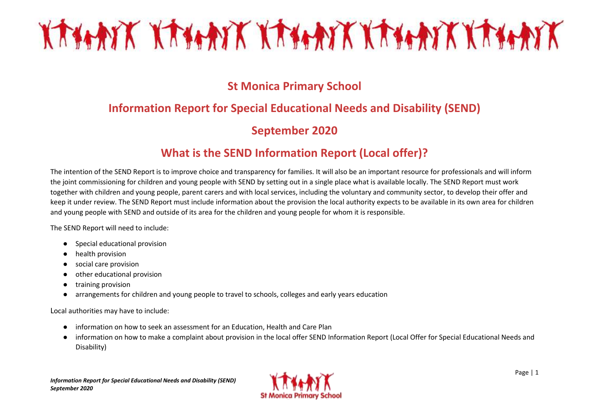# KATANK KATANK KATANK KATANK KATANK

### **St Monica Primary School**

### **Information Report for Special Educational Needs and Disability (SEND)**

### **September 2020**

### **What is the SEND Information Report (Local offer)?**

The intention of the SEND Report is to improve choice and transparency for families. It will also be an important resource for professionals and will inform the joint commissioning for children and young people with SEND by setting out in a single place what is available locally. The SEND Report must work together with children and young people, parent carers and with local services, including the voluntary and community sector, to develop their offer and keep it under review. The SEND Report must include information about the provision the local authority expects to be available in its own area for children and young people with SEND and outside of its area for the children and young people for whom it is responsible.

The SEND Report will need to include:

- Special educational provision
- health provision
- social care provision
- other educational provision
- training provision
- arrangements for children and young people to travel to schools, colleges and early years education

Local authorities may have to include:

- information on how to seek an assessment for an Education, Health and Care Plan
- information on how to make a complaint about provision in the local offer SEND Information Report (Local Offer for Special Educational Needs and Disability)

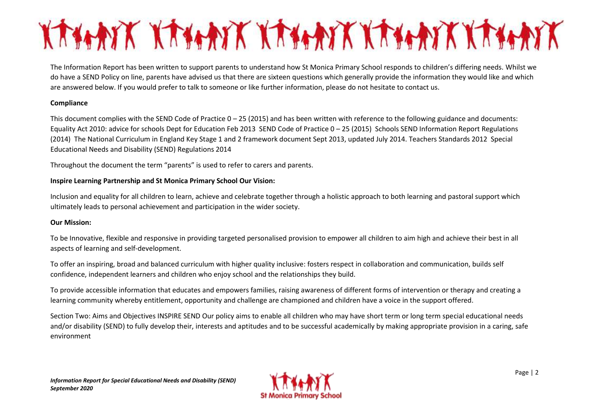# KANNIK KANNIK KANNIK KANNIK KANNIK

The Information Report has been written to support parents to understand how St Monica Primary School responds to children's differing needs. Whilst we do have a SEND Policy on line, parents have advised us that there are sixteen questions which generally provide the information they would like and which are answered below. If you would prefer to talk to someone or like further information, please do not hesitate to contact us.

#### **Compliance**

This document complies with the SEND Code of Practice  $0-25$  (2015) and has been written with reference to the following guidance and documents: Equality Act 2010: advice for schools Dept for Education Feb 2013 SEND Code of Practice 0 – 25 (2015) Schools SEND Information Report Regulations (2014) The National Curriculum in England Key Stage 1 and 2 framework document Sept 2013, updated July 2014. Teachers Standards 2012 Special Educational Needs and Disability (SEND) Regulations 2014

Throughout the document the term "parents" is used to refer to carers and parents.

#### **Inspire Learning Partnership and St Monica Primary School Our Vision:**

Inclusion and equality for all children to learn, achieve and celebrate together through a holistic approach to both learning and pastoral support which ultimately leads to personal achievement and participation in the wider society.

#### **Our Mission:**

To be Innovative, flexible and responsive in providing targeted personalised provision to empower all children to aim high and achieve their best in all aspects of learning and self-development.

To offer an inspiring, broad and balanced curriculum with higher quality inclusive: fosters respect in collaboration and communication, builds self confidence, independent learners and children who enjoy school and the relationships they build.

To provide accessible information that educates and empowers families, raising awareness of different forms of intervention or therapy and creating a learning community whereby entitlement, opportunity and challenge are championed and children have a voice in the support offered.

Section Two: Aims and Objectives INSPIRE SEND Our policy aims to enable all children who may have short term or long term special educational needs and/or disability (SEND) to fully develop their, interests and aptitudes and to be successful academically by making appropriate provision in a caring, safe environment

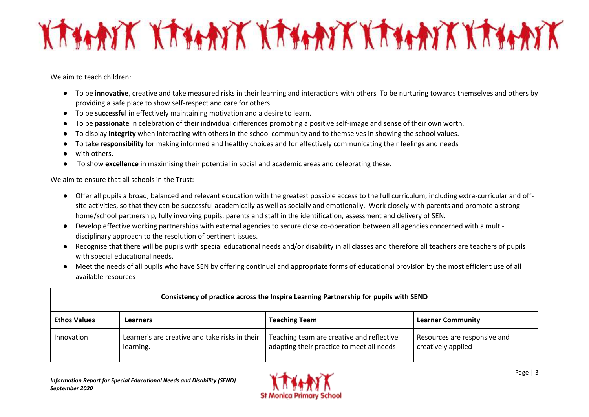# KANATK KANATK KANATK KANATK KANATK

We aim to teach children:

- To be **innovative**, creative and take measured risks in their learning and interactions with others To be nurturing towards themselves and others by providing a safe place to show self-respect and care for others.
- To be **successful** in effectively maintaining motivation and a desire to learn.
- To be **passionate** in celebration of their individual differences promoting a positive self-image and sense of their own worth.
- To display **integrity** when interacting with others in the school community and to themselves in showing the school values.
- To take **responsibility** for making informed and healthy choices and for effectively communicating their feelings and needs
- with others.
- To show **excellence** in maximising their potential in social and academic areas and celebrating these.

We aim to ensure that all schools in the Trust:

- Offer all pupils a broad, balanced and relevant education with the greatest possible access to the full curriculum, including extra-curricular and offsite activities, so that they can be successful academically as well as socially and emotionally. Work closely with parents and promote a strong home/school partnership, fully involving pupils, parents and staff in the identification, assessment and delivery of SEN.
- Develop effective working partnerships with external agencies to secure close co-operation between all agencies concerned with a multidisciplinary approach to the resolution of pertinent issues.
- Recognise that there will be pupils with special educational needs and/or disability in all classes and therefore all teachers are teachers of pupils with special educational needs.
- Meet the needs of all pupils who have SEN by offering continual and appropriate forms of educational provision by the most efficient use of all available resources

| Consistency of practice across the Inspire Learning Partnership for pupils with SEND |                                                             |                                                                                        |                                                    |
|--------------------------------------------------------------------------------------|-------------------------------------------------------------|----------------------------------------------------------------------------------------|----------------------------------------------------|
| <b>Ethos Values</b>                                                                  | Learners                                                    | <b>Teaching Team</b>                                                                   | <b>Learner Community</b>                           |
| Innovation                                                                           | Learner's are creative and take risks in their<br>learning. | Teaching team are creative and reflective<br>adapting their practice to meet all needs | Resources are responsive and<br>creatively applied |

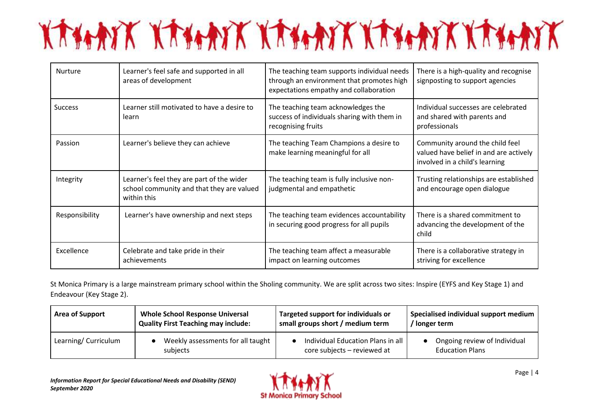# KAHAYK KAHAYK KAHAYK KAHAYK KAHAYK

| <b>Nurture</b> | Learner's feel safe and supported in all<br>areas of development                                      | The teaching team supports individual needs<br>through an environment that promotes high<br>expectations empathy and collaboration | There is a high-quality and recognise<br>signposting to support agencies                                    |
|----------------|-------------------------------------------------------------------------------------------------------|------------------------------------------------------------------------------------------------------------------------------------|-------------------------------------------------------------------------------------------------------------|
| <b>Success</b> | Learner still motivated to have a desire to<br>learn                                                  | The teaching team acknowledges the<br>success of individuals sharing with them in<br>recognising fruits                            | Individual successes are celebrated<br>and shared with parents and<br>professionals                         |
| Passion        | Learner's believe they can achieve                                                                    | The teaching Team Champions a desire to<br>make learning meaningful for all                                                        | Community around the child feel<br>valued have belief in and are actively<br>involved in a child's learning |
| Integrity      | Learner's feel they are part of the wider<br>school community and that they are valued<br>within this | The teaching team is fully inclusive non-<br>judgmental and empathetic                                                             | Trusting relationships are established<br>and encourage open dialogue                                       |
| Responsibility | Learner's have ownership and next steps                                                               | The teaching team evidences accountability<br>in securing good progress for all pupils                                             | There is a shared commitment to<br>advancing the development of the<br>child                                |
| Excellence     | Celebrate and take pride in their<br>achievements                                                     | The teaching team affect a measurable<br>impact on learning outcomes                                                               | There is a collaborative strategy in<br>striving for excellence                                             |

St Monica Primary is a large mainstream primary school within the Sholing community. We are split across two sites: Inspire (EYFS and Key Stage 1) and Endeavour (Key Stage 2).

| <b>Area of Support</b> | <b>Whole School Response Universal</b>     | Targeted support for individuals or | Specialised individual support medium |
|------------------------|--------------------------------------------|-------------------------------------|---------------------------------------|
|                        | <b>Quality First Teaching may include:</b> | small groups short / medium term    | Ionger term                           |
| Learning/ Curriculum   | Weekly assessments for all taught          | Individual Education Plans in all   | Ongoing review of Individual          |
|                        | subjects                                   | core subjects - reviewed at         | <b>Education Plans</b>                |

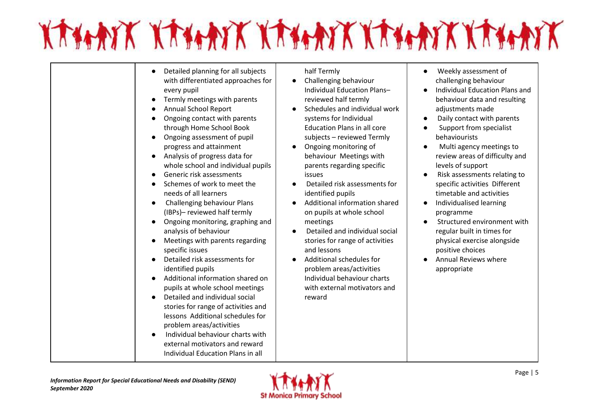# KATHAIK KATHAIK KATHAIK KATHAIK KATHAIK

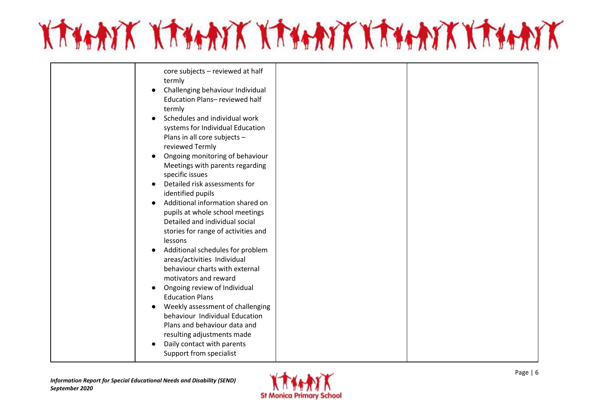

| core subjects - reviewed at half<br>termly<br>Challenging behaviour Individual<br>$\bullet$<br>Education Plans-reviewed half<br>termly<br>Schedules and individual work<br>$\bullet$<br>systems for Individual Education<br>Plans in all core subjects -<br>reviewed Termly<br>Ongoing monitoring of behaviour<br>$\bullet$<br>Meetings with parents regarding<br>specific issues<br>Detailed risk assessments for<br>identified pupils<br>Additional information shared on<br>$\bullet$<br>pupils at whole school meetings<br>Detailed and individual social<br>stories for range of activities and<br>lessons<br>Additional schedules for problem<br>$\bullet$<br>areas/activities Individual<br>behaviour charts with external<br>motivators and reward<br>Ongoing review of Individual<br>$\bullet$<br><b>Education Plans</b><br>Weekly assessment of challenging<br>$\bullet$<br>behaviour Individual Education<br>Plans and behaviour data and<br>resulting adjustments made<br>Daily contact with parents<br>$\bullet$<br>Support from specialist |  |
|----------------------------------------------------------------------------------------------------------------------------------------------------------------------------------------------------------------------------------------------------------------------------------------------------------------------------------------------------------------------------------------------------------------------------------------------------------------------------------------------------------------------------------------------------------------------------------------------------------------------------------------------------------------------------------------------------------------------------------------------------------------------------------------------------------------------------------------------------------------------------------------------------------------------------------------------------------------------------------------------------------------------------------------------------------|--|
|                                                                                                                                                                                                                                                                                                                                                                                                                                                                                                                                                                                                                                                                                                                                                                                                                                                                                                                                                                                                                                                          |  |

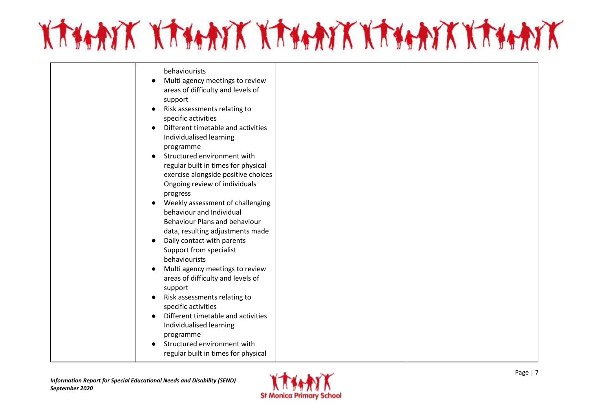

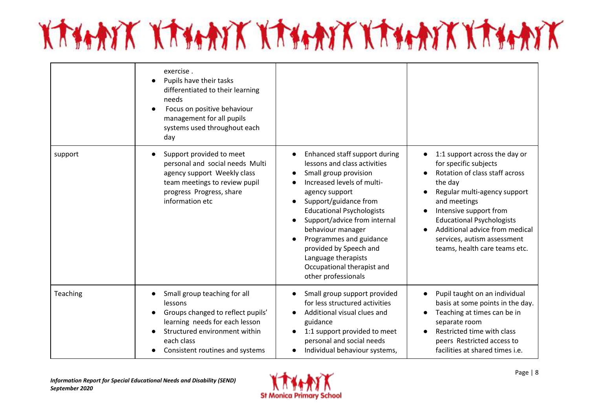# KATHAYK KATHAYK KATHAYK KATHAYK KATHAYK

|          | exercise.<br>Pupils have their tasks<br>differentiated to their learning<br>needs<br>Focus on positive behaviour<br>management for all pupils<br>systems used throughout each<br>day             |                                                                                                                                                                                                                                                                                                                                                                                                        |                                                                                                                                                                                                                                                                                                                     |
|----------|--------------------------------------------------------------------------------------------------------------------------------------------------------------------------------------------------|--------------------------------------------------------------------------------------------------------------------------------------------------------------------------------------------------------------------------------------------------------------------------------------------------------------------------------------------------------------------------------------------------------|---------------------------------------------------------------------------------------------------------------------------------------------------------------------------------------------------------------------------------------------------------------------------------------------------------------------|
| support  | Support provided to meet<br>personal and social needs Multi<br>agency support Weekly class<br>team meetings to review pupil<br>progress Progress, share<br>information etc                       | Enhanced staff support during<br>lessons and class activities<br>Small group provision<br>Increased levels of multi-<br>agency support<br>Support/guidance from<br><b>Educational Psychologists</b><br>Support/advice from internal<br>behaviour manager<br>Programmes and guidance<br>$\bullet$<br>provided by Speech and<br>Language therapists<br>Occupational therapist and<br>other professionals | 1:1 support across the day or<br>for specific subjects<br>Rotation of class staff across<br>the day<br>Regular multi-agency support<br>and meetings<br>Intensive support from<br><b>Educational Psychologists</b><br>Additional advice from medical<br>services, autism assessment<br>teams, health care teams etc. |
| Teaching | Small group teaching for all<br>lessons<br>Groups changed to reflect pupils'<br>learning needs for each lesson<br>Structured environment within<br>each class<br>Consistent routines and systems | Small group support provided<br>$\bullet$<br>for less structured activities<br>Additional visual clues and<br>guidance<br>1:1 support provided to meet<br>personal and social needs<br>Individual behaviour systems,<br>$\bullet$                                                                                                                                                                      | Pupil taught on an individual<br>basis at some points in the day.<br>Teaching at times can be in<br>separate room<br>Restricted time with class<br>peers Restricted access to<br>facilities at shared times i.e.                                                                                                    |

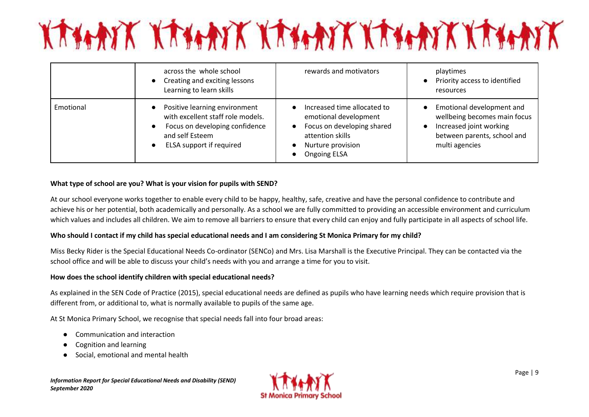# KAHAYK KAHAYK KAHAYK KAHAYK KAHAYK

|           | across the whole school<br>Creating and exciting lessons<br>Learning to learn skills                                                                | rewards and motivators                                                                                                                                                                    | playtimes<br>Priority access to identified<br>$\bullet$<br>resources                                                                                            |
|-----------|-----------------------------------------------------------------------------------------------------------------------------------------------------|-------------------------------------------------------------------------------------------------------------------------------------------------------------------------------------------|-----------------------------------------------------------------------------------------------------------------------------------------------------------------|
| Emotional | Positive learning environment<br>with excellent staff role models.<br>Focus on developing confidence<br>and self Esteem<br>ELSA support if required | Increased time allocated to<br>$\bullet$<br>emotional development<br>Focus on developing shared<br>$\bullet$<br>attention skills<br>Nurture provision<br>$\bullet$<br><b>Ongoing ELSA</b> | Emotional development and<br>$\bullet$<br>wellbeing becomes main focus<br>Increased joint working<br>$\bullet$<br>between parents, school and<br>multi agencies |

#### **What type of school are you? What is your vision for pupils with SEND?**

At our school everyone works together to enable every child to be happy, healthy, safe, creative and have the personal confidence to contribute and achieve his or her potential, both academically and personally. As a school we are fully committed to providing an accessible environment and curriculum which values and includes all children. We aim to remove all barriers to ensure that every child can enjoy and fully participate in all aspects of school life.

#### **Who should I contact if my child has special educational needs and I am considering St Monica Primary for my child?**

Miss Becky Rider is the Special Educational Needs Co-ordinator (SENCo) and Mrs. Lisa Marshall is the Executive Principal. They can be contacted via the school office and will be able to discuss your child's needs with you and arrange a time for you to visit.

#### **How does the school identify children with special educational needs?**

As explained in the SEN Code of Practice (2015), special educational needs are defined as pupils who have learning needs which require provision that is different from, or additional to, what is normally available to pupils of the same age.

At St Monica Primary School, we recognise that special needs fall into four broad areas:

- Communication and interaction
- Cognition and learning
- Social, emotional and mental health

*Information Report for Special Educational Needs and Disability (SEND) September 2020*

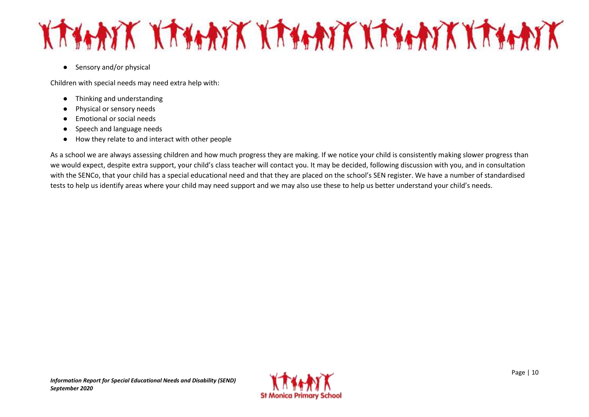## KATANK KATANK KATANK KATANK KATANK

● Sensory and/or physical

Children with special needs may need extra help with:

- Thinking and understanding
- Physical or sensory needs
- Emotional or social needs
- Speech and language needs
- How they relate to and interact with other people

As a school we are always assessing children and how much progress they are making. If we notice your child is consistently making slower progress than we would expect, despite extra support, your child's class teacher will contact you. It may be decided, following discussion with you, and in consultation with the SENCo, that your child has a special educational need and that they are placed on the school's SEN register. We have a number of standardised tests to help us identify areas where your child may need support and we may also use these to help us better understand your child's needs.

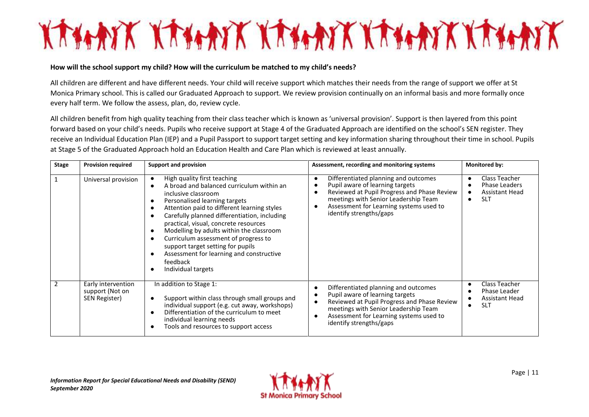# KANNA KANAK KANAK KANAK KANAK

#### **How will the school support my child? How will the curriculum be matched to my child's needs?**

All children are different and have different needs. Your child will receive support which matches their needs from the range of support we offer at St Monica Primary school. This is called our Graduated Approach to support. We review provision continually on an informal basis and more formally once every half term. We follow the assess, plan, do, review cycle.

All children benefit from high quality teaching from their class teacher which is known as 'universal provision'. Support is then layered from this point forward based on your child's needs. Pupils who receive support at Stage 4 of the Graduated Approach are identified on the school's SEN register. They receive an Individual Education Plan (IEP) and a Pupil Passport to support target setting and key information sharing throughout their time in school. Pupils at Stage 5 of the Graduated Approach hold an Education Health and Care Plan which is reviewed at least annually.

| <b>Stage</b>   | <b>Provision required</b>                              | <b>Support and provision</b>                                                                                                                                                                                                                                                                                                                                                                                                                                                         | Assessment, recording and monitoring systems                                                                                                                                                                                         | Monitored by:                                                                      |
|----------------|--------------------------------------------------------|--------------------------------------------------------------------------------------------------------------------------------------------------------------------------------------------------------------------------------------------------------------------------------------------------------------------------------------------------------------------------------------------------------------------------------------------------------------------------------------|--------------------------------------------------------------------------------------------------------------------------------------------------------------------------------------------------------------------------------------|------------------------------------------------------------------------------------|
|                | Universal provision                                    | High quality first teaching<br>A broad and balanced curriculum within an<br>inclusive classroom<br>Personalised learning targets<br>Attention paid to different learning styles<br>Carefully planned differentiation, including<br>practical, visual, concrete resources<br>Modelling by adults within the classroom<br>-<br>Curriculum assessment of progress to<br>support target setting for pupils<br>Assessment for learning and constructive<br>feedback<br>Individual targets | Differentiated planning and outcomes<br>Pupil aware of learning targets<br>Reviewed at Pupil Progress and Phase Review<br>meetings with Senior Leadership Team<br>Assessment for Learning systems used to<br>identify strengths/gaps | Class Teacher<br><b>Phase Leaders</b><br>Assistant Head<br>$\bullet$<br><b>SLT</b> |
| $\overline{2}$ | Early intervention<br>support (Not on<br>SEN Register) | In addition to Stage 1:<br>Support within class through small groups and<br>individual support (e.g. cut away, workshops)<br>Differentiation of the curriculum to meet<br>individual learning needs<br>Tools and resources to support access                                                                                                                                                                                                                                         | Differentiated planning and outcomes<br>Pupil aware of learning targets<br>Reviewed at Pupil Progress and Phase Review<br>meetings with Senior Leadership Team<br>Assessment for Learning systems used to<br>identify strengths/gaps | Class Teacher<br>Phase Leader<br>Assistant Head<br><b>SLT</b>                      |

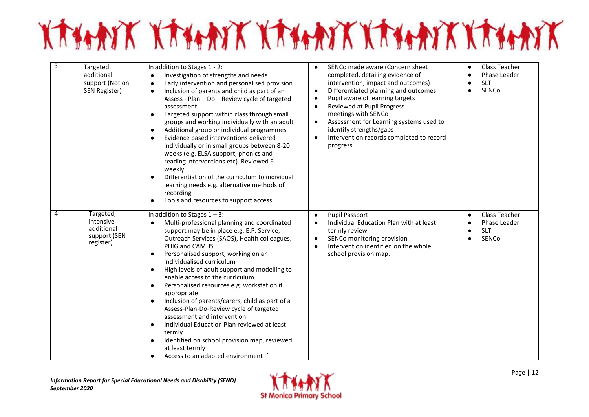

| 3 | Targeted,<br>additional<br>support (Not on<br>SEN Register)       | In addition to Stages 1 - 2:<br>Investigation of strengths and needs<br>Early intervention and personalised provision<br>$\bullet$<br>Inclusion of parents and child as part of an<br>$\bullet$<br>Assess - Plan - Do - Review cycle of targeted<br>assessment<br>Targeted support within class through small<br>$\bullet$<br>groups and working individually with an adult<br>Additional group or individual programmes<br>$\bullet$<br>Evidence based interventions delivered<br>$\bullet$<br>individually or in small groups between 8-20<br>weeks (e.g. ELSA support, phonics and<br>reading interventions etc). Reviewed 6<br>weekly.<br>Differentiation of the curriculum to individual<br>learning needs e.g. alternative methods of<br>recording<br>Tools and resources to support access               | SENCo made aware (Concern sheet<br>$\bullet$<br>completed, detailing evidence of<br>intervention, impact and outcomes)<br>Differentiated planning and outcomes<br>$\bullet$<br>Pupil aware of learning targets<br>$\bullet$<br><b>Reviewed at Pupil Progress</b><br>$\bullet$<br>meetings with SENCo<br>Assessment for Learning systems used to<br>$\bullet$<br>identify strengths/gaps<br>Intervention records completed to record<br>$\bullet$<br>progress | Class Teacher<br>Phase Leader<br><b>SLT</b><br>SENCo<br>$\bullet$ |
|---|-------------------------------------------------------------------|-----------------------------------------------------------------------------------------------------------------------------------------------------------------------------------------------------------------------------------------------------------------------------------------------------------------------------------------------------------------------------------------------------------------------------------------------------------------------------------------------------------------------------------------------------------------------------------------------------------------------------------------------------------------------------------------------------------------------------------------------------------------------------------------------------------------|--------------------------------------------------------------------------------------------------------------------------------------------------------------------------------------------------------------------------------------------------------------------------------------------------------------------------------------------------------------------------------------------------------------------------------------------------------------|-------------------------------------------------------------------|
| 4 | Targeted,<br>intensive<br>additional<br>support (SEN<br>register) | In addition to Stages $1 - 3$ :<br>Multi-professional planning and coordinated<br>$\bullet$<br>support may be in place e.g. E.P. Service,<br>Outreach Services (SAOS), Health colleagues,<br>PHIG and CAMHS.<br>Personalised support, working on an<br>$\bullet$<br>individualised curriculum<br>High levels of adult support and modelling to<br>$\bullet$<br>enable access to the curriculum<br>Personalised resources e.g. workstation if<br>$\bullet$<br>appropriate<br>Inclusion of parents/carers, child as part of a<br>$\bullet$<br>Assess-Plan-Do-Review cycle of targeted<br>assessment and intervention<br>Individual Education Plan reviewed at least<br>$\bullet$<br>termly<br>Identified on school provision map, reviewed<br>$\bullet$<br>at least termly<br>Access to an adapted environment if | <b>Pupil Passport</b><br>$\bullet$<br>Individual Education Plan with at least<br>$\bullet$<br>termly review<br>SENCo monitoring provision<br>$\bullet$<br>Intervention identified on the whole<br>$\bullet$<br>school provision map.                                                                                                                                                                                                                         | Class Teacher<br>$\bullet$<br>Phase Leader<br><b>SLT</b><br>SENCo |

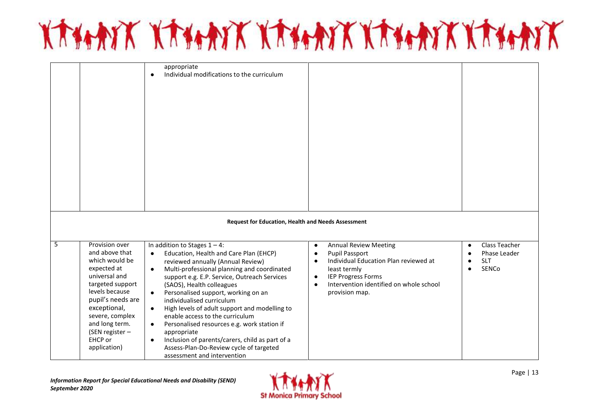# KATHAYK KATHAYK KATHAYK KATHAYK KATHAYK

|   |                                                                                                                                                                                                                                                  | appropriate<br>Individual modifications to the curriculum<br>$\bullet$                                                                                                                                                                                                                                                                                                                                                                                                                                                                                                                                                                                                      |                                                                                                                                                                                                                                                                           |                                                                                                    |
|---|--------------------------------------------------------------------------------------------------------------------------------------------------------------------------------------------------------------------------------------------------|-----------------------------------------------------------------------------------------------------------------------------------------------------------------------------------------------------------------------------------------------------------------------------------------------------------------------------------------------------------------------------------------------------------------------------------------------------------------------------------------------------------------------------------------------------------------------------------------------------------------------------------------------------------------------------|---------------------------------------------------------------------------------------------------------------------------------------------------------------------------------------------------------------------------------------------------------------------------|----------------------------------------------------------------------------------------------------|
|   |                                                                                                                                                                                                                                                  |                                                                                                                                                                                                                                                                                                                                                                                                                                                                                                                                                                                                                                                                             |                                                                                                                                                                                                                                                                           |                                                                                                    |
|   |                                                                                                                                                                                                                                                  | <b>Request for Education, Health and Needs Assessment</b>                                                                                                                                                                                                                                                                                                                                                                                                                                                                                                                                                                                                                   |                                                                                                                                                                                                                                                                           |                                                                                                    |
| 5 | Provision over<br>and above that<br>which would be<br>expected at<br>universal and<br>targeted support<br>levels because<br>pupil's needs are<br>exceptional,<br>severe, complex<br>and long term.<br>(SEN register -<br>EHCP or<br>application) | In addition to Stages $1 - 4$ :<br>Education, Health and Care Plan (EHCP)<br>$\bullet$<br>reviewed annually (Annual Review)<br>Multi-professional planning and coordinated<br>$\bullet$<br>support e.g. E.P. Service, Outreach Services<br>(SAOS), Health colleagues<br>Personalised support, working on an<br>$\bullet$<br>individualised curriculum<br>High levels of adult support and modelling to<br>$\bullet$<br>enable access to the curriculum<br>Personalised resources e.g. work station if<br>$\bullet$<br>appropriate<br>Inclusion of parents/carers, child as part of a<br>$\bullet$<br>Assess-Plan-Do-Review cycle of targeted<br>assessment and intervention | <b>Annual Review Meeting</b><br>$\bullet$<br><b>Pupil Passport</b><br>$\bullet$<br>Individual Education Plan reviewed at<br>$\bullet$<br>least termly<br><b>IEP Progress Forms</b><br>$\bullet$<br>Intervention identified on whole school<br>$\bullet$<br>provision map. | <b>Class Teacher</b><br>$\bullet$<br>Phase Leader<br>$\bullet$<br><b>SLT</b><br>$\bullet$<br>SENCo |

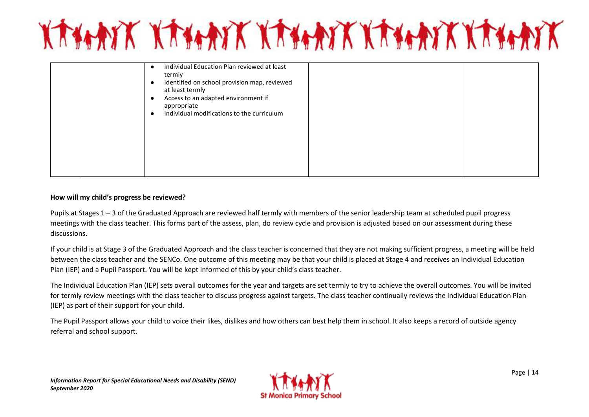

|  | Individual Education Plan reviewed at least<br>termly<br>Identified on school provision map, reviewed<br>G<br>at least termly<br>Access to an adapted environment if<br>$\bullet$<br>appropriate<br>Individual modifications to the curriculum<br>٠ |  |
|--|-----------------------------------------------------------------------------------------------------------------------------------------------------------------------------------------------------------------------------------------------------|--|
|  |                                                                                                                                                                                                                                                     |  |

#### **How will my child's progress be reviewed?**

Pupils at Stages 1 – 3 of the Graduated Approach are reviewed half termly with members of the senior leadership team at scheduled pupil progress meetings with the class teacher. This forms part of the assess, plan, do review cycle and provision is adjusted based on our assessment during these discussions.

If your child is at Stage 3 of the Graduated Approach and the class teacher is concerned that they are not making sufficient progress, a meeting will be held between the class teacher and the SENCo. One outcome of this meeting may be that your child is placed at Stage 4 and receives an Individual Education Plan (IEP) and a Pupil Passport. You will be kept informed of this by your child's class teacher.

The Individual Education Plan (IEP) sets overall outcomes for the year and targets are set termly to try to achieve the overall outcomes. You will be invited for termly review meetings with the class teacher to discuss progress against targets. The class teacher continually reviews the Individual Education Plan (IEP) as part of their support for your child.

The Pupil Passport allows your child to voice their likes, dislikes and how others can best help them in school. It also keeps a record of outside agency referral and school support.

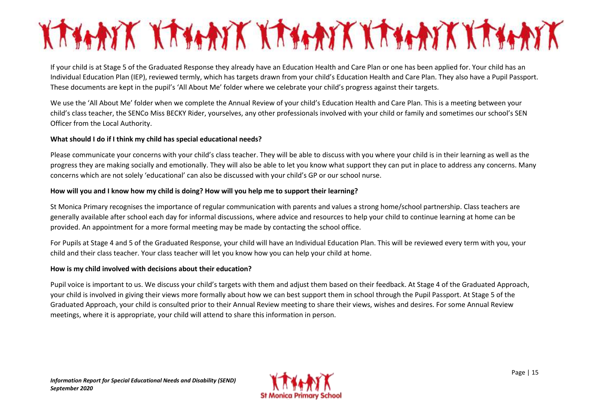# KANNY KANNY KANY KANYANY KANY

If your child is at Stage 5 of the Graduated Response they already have an Education Health and Care Plan or one has been applied for. Your child has an Individual Education Plan (IEP), reviewed termly, which has targets drawn from your child's Education Health and Care Plan. They also have a Pupil Passport. These documents are kept in the pupil's 'All About Me' folder where we celebrate your child's progress against their targets.

We use the 'All About Me' folder when we complete the Annual Review of your child's Education Health and Care Plan. This is a meeting between your child's class teacher, the SENCo Miss BECKY Rider, yourselves, any other professionals involved with your child or family and sometimes our school's SEN Officer from the Local Authority.

#### **What should I do if I think my child has special educational needs?**

Please communicate your concerns with your child's class teacher. They will be able to discuss with you where your child is in their learning as well as the progress they are making socially and emotionally. They will also be able to let you know what support they can put in place to address any concerns. Many concerns which are not solely 'educational' can also be discussed with your child's GP or our school nurse.

#### **How will you and I know how my child is doing? How will you help me to support their learning?**

St Monica Primary recognises the importance of regular communication with parents and values a strong home/school partnership. Class teachers are generally available after school each day for informal discussions, where advice and resources to help your child to continue learning at home can be provided. An appointment for a more formal meeting may be made by contacting the school office.

For Pupils at Stage 4 and 5 of the Graduated Response, your child will have an Individual Education Plan. This will be reviewed every term with you, your child and their class teacher. Your class teacher will let you know how you can help your child at home.

#### **How is my child involved with decisions about their education?**

Pupil voice is important to us. We discuss your child's targets with them and adjust them based on their feedback. At Stage 4 of the Graduated Approach, your child is involved in giving their views more formally about how we can best support them in school through the Pupil Passport. At Stage 5 of the Graduated Approach, your child is consulted prior to their Annual Review meeting to share their views, wishes and desires. For some Annual Review meetings, where it is appropriate, your child will attend to share this information in person.

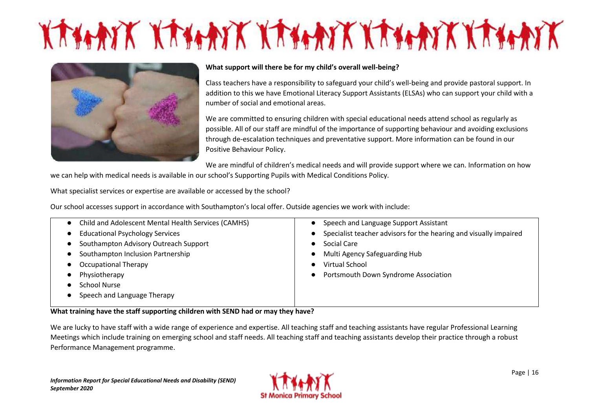# KANNIK KANNIK KANNIK KANNIK KANNIK



#### **What support will there be for my child's overall well-being?**

Class teachers have a responsibility to safeguard your child's well-being and provide pastoral support. In addition to this we have Emotional Literacy Support Assistants (ELSAs) who can support your child with a number of social and emotional areas.

We are committed to ensuring children with special educational needs attend school as regularly as possible. All of our staff are mindful of the importance of supporting behaviour and avoiding exclusions through de-escalation techniques and preventative support. More information can be found in our Positive Behaviour Policy.

We are mindful of children's medical needs and will provide support where we can. Information on how

we can help with medical needs is available in our school's Supporting Pupils with Medical Conditions Policy.

What specialist services or expertise are available or accessed by the school?

Our school accesses support in accordance with Southampton's local offer. Outside agencies we work with include:

| Child and Adolescent Mental Health Services (CAMHS) | Speech and Language Support Assistant<br>$\bullet$                             |
|-----------------------------------------------------|--------------------------------------------------------------------------------|
| <b>Educational Psychology Services</b>              | Specialist teacher advisors for the hearing and visually impaired<br>$\bullet$ |
| Southampton Advisory Outreach Support               | Social Care                                                                    |
| Southampton Inclusion Partnership                   | Multi Agency Safeguarding Hub<br>$\bullet$                                     |
| <b>Occupational Therapy</b>                         | Virtual School<br>$\bullet$                                                    |
| Physiotherapy                                       | Portsmouth Down Syndrome Association<br>$\bullet$                              |
| <b>School Nurse</b>                                 |                                                                                |
| Speech and Language Therapy                         |                                                                                |
|                                                     |                                                                                |

#### **What training have the staff supporting children with SEND had or may they have?**

We are lucky to have staff with a wide range of experience and expertise. All teaching staff and teaching assistants have regular Professional Learning Meetings which include training on emerging school and staff needs. All teaching staff and teaching assistants develop their practice through a robust Performance Management programme.

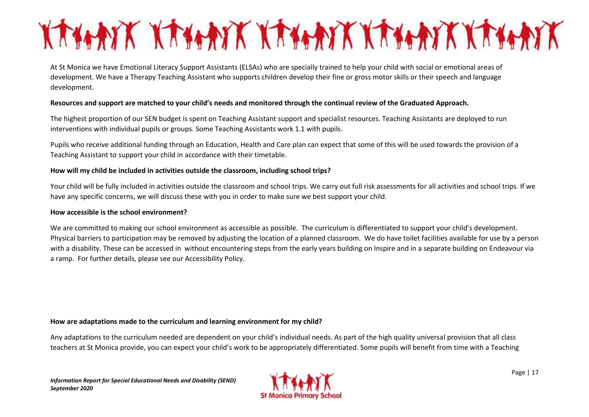## KANNA KANAK KANAK KANAK KANAK

At St Monica we have Emotional Literacy Support Assistants (ELSAs) who are specially trained to help your child with social or emotional areas of development. We have a Therapy Teaching Assistant who supports children develop their fine or gross motor skills or their speech and language development.

#### **Resources and support are matched to your child's needs and monitored through the continual review of the Graduated Approach.**

The highest proportion of our SEN budget is spent on Teaching Assistant support and specialist resources. Teaching Assistants are deployed to run interventions with individual pupils or groups. Some Teaching Assistants work 1.1 with pupils.

Pupils who receive additional funding through an Education, Health and Care plan can expect that some of this will be used towards the provision of a Teaching Assistant to support your child in accordance with their timetable.

#### **How will my child be included in activities outside the classroom, including school trips?**

Your child will be fully included in activities outside the classroom and school trips. We carry out full risk assessments for all activities and school trips. If we have any specific concerns, we will discuss these with you in order to make sure we best support your child.

#### **How accessible is the school environment?**

We are committed to making our school environment as accessible as possible. The curriculum is differentiated to support your child's development. Physical barriers to participation may be removed by adjusting the location of a planned classroom. We do have toilet facilities available for use by a person with a disability. These can be accessed in without encountering steps from the early years building on Inspire and in a separate building on Endeavour via a ramp. For further details, please see our Accessibility Policy.

#### **How are adaptations made to the curriculum and learning environment for my child?**

Any adaptations to the curriculum needed are dependent on your child's individual needs. As part of the high quality universal provision that all class teachers at St Monica provide, you can expect your child's work to be appropriately differentiated. Some pupils will benefit from time with a Teaching

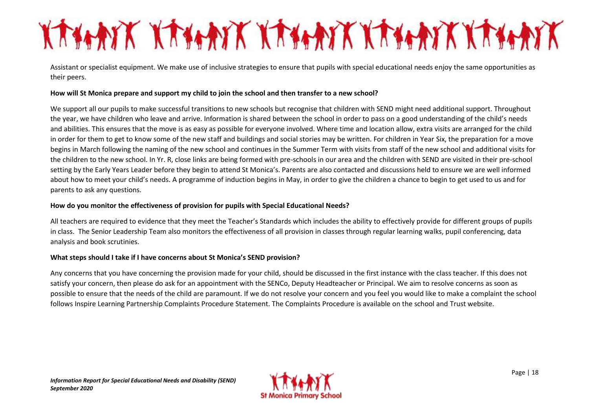## KANAN KANAN KANAN KANAN KANAN

Assistant or specialist equipment. We make use of inclusive strategies to ensure that pupils with special educational needs enjoy the same opportunities as their peers.

#### **How will St Monica prepare and support my child to join the school and then transfer to a new school?**

We support all our pupils to make successful transitions to new schools but recognise that children with SEND might need additional support. Throughout the year, we have children who leave and arrive. Information is shared between the school in order to pass on a good understanding of the child's needs and abilities. This ensures that the move is as easy as possible for everyone involved. Where time and location allow, extra visits are arranged for the child in order for them to get to know some of the new staff and buildings and social stories may be written. For children in Year Six, the preparation for a move begins in March following the naming of the new school and continues in the Summer Term with visits from staff of the new school and additional visits for the children to the new school. In Yr. R, close links are being formed with pre-schools in our area and the children with SEND are visited in their pre-school setting by the Early Years Leader before they begin to attend St Monica's. Parents are also contacted and discussions held to ensure we are well informed about how to meet your child's needs. A programme of induction begins in May, in order to give the children a chance to begin to get used to us and for parents to ask any questions.

#### **How do you monitor the effectiveness of provision for pupils with Special Educational Needs?**

All teachers are required to evidence that they meet the Teacher's Standards which includes the ability to effectively provide for different groups of pupils in class. The Senior Leadership Team also monitors the effectiveness of all provision in classes through regular learning walks, pupil conferencing, data analysis and book scrutinies.

#### **What steps should I take if I have concerns about St Monica's SEND provision?**

Any concerns that you have concerning the provision made for your child, should be discussed in the first instance with the class teacher. If this does not satisfy your concern, then please do ask for an appointment with the SENCo, Deputy Headteacher or Principal. We aim to resolve concerns as soon as possible to ensure that the needs of the child are paramount. If we do not resolve your concern and you feel you would like to make a complaint the school follows Inspire Learning Partnership Complaints Procedure Statement. The Complaints Procedure is available on the school and Trust website.